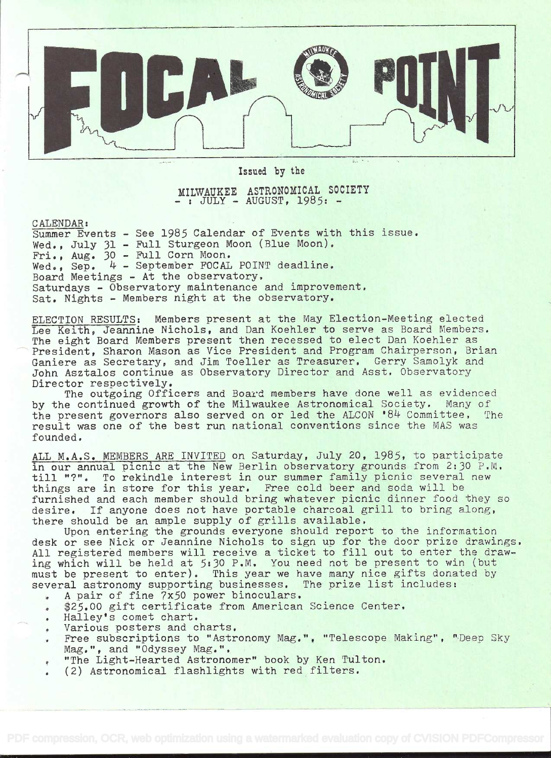

Issued by the

MILWAUKEE ASTRONOMICAL SOCIETY - : JULY - AUGUST, 1985: -

CALENDAR:

Summer Events - See 1985 Calendar of Events with this issue, Wed., July 31 - Full Sturgeon Moon (Blue Moon). Fri., Aug. 30 - Full Corn Moon. Wed., Sep. 4 - September FOCAL POINT deadline. Board Meetings - At the observatory, Saturdays - Observatory maintenance and improvement, Sat. Nights - Members night at the observatory.

ELECTION RESULTS: Members present at the May Election-Meeting elected Lee Keith, Jeannine Nichols, and Dan Koehier to serve as Board Members. The eight Board Members present then recessed to elect Dan Koehler as President, Sharon Mason as Vice President and Program Chairperson, Brian Ganiere as Secretary, and Jim Toeller as Treasurer, Gerry Samolyk and John Asztalos continue as Observatory Director and Asst, Observatory Director respectively.

The outgoing Officers and Board members have done well as evidenced by the continued growth of the Milwaukee Astronomical Society. Many of the present governors also served on or led the ALCON '84 Committee, The result was one of the best run national conventions since the MAS was founded.

ALL M.A.S. MEMBERS ARE INVITED on Saturday, July 20, 1985, to participate in our annual picnic at the New Berlin observatory grounds from 2:30 P.M. till "?". To rekindle interest in our summer family picnic several new things are in store for this year. Free cold beer and soda will be furnished and each member should bring whatever picnic dinner food they so desire, If anyone does not have portable charcoal grill to bring along, there should be an ample supply of grills available.

Upon entering the grounds everyone should report to the information desk or see Nick or Jeannine Nichols to sign up for the door prize drawings. All registered members will receive a ticket to fill out to enter the drawing which will be held at  $5:30$  P.M. You need not be present to win (but must be present to enter). This year we have many nice gifts donated by several astronomy supporting businesses. The prize list includes:

- . A pair of fine 7x50 power binoculars,
- . 25.00 gift certificate from American Science Center.
- . Halley's comet chart.
- . Various posters and charts.
- . Free subscriptions to "Astronomy Mag.", "Telescope Making", "Deep Sky Mag.", and "Odyssey Mag.".
- "The Light-Hearted Astronomer" book by Ken Tulton.
- . (2) Astronomical flashlights with red filters.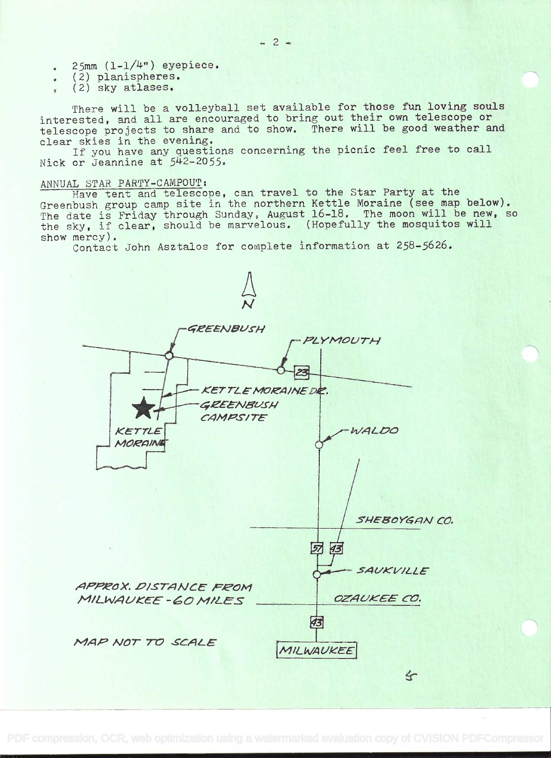- $25mm$   $(1-1/4")$  eyepiece.  $\bullet$
- (2) planispheres.  $\bullet$
- (2) sky atlases.

There will be a volleyball set available for those fun loving souls interested, and all are encouraged to bring out their own telescope or telescope projects to share and to show. There will be good weather and clear skies in the evening.

If you have any questions concerning the picnic feel free to call Nick or Jeannine at 542-2055.

#### ANNUAL STAR PARTY-CAMPOUT:

Have tent and telescope, can travel to the Star Party at the Greenbush group camp site in the northern Kettle Moraine (see map below). The date is Friday through Sunday, August 16-18. The moon will be new, so the sky, if clear, should be marvelous. (Hopefully the mosquitos will show mercy).

Contact John Asztalos for complete information at 258-5626.



 $= 2 =$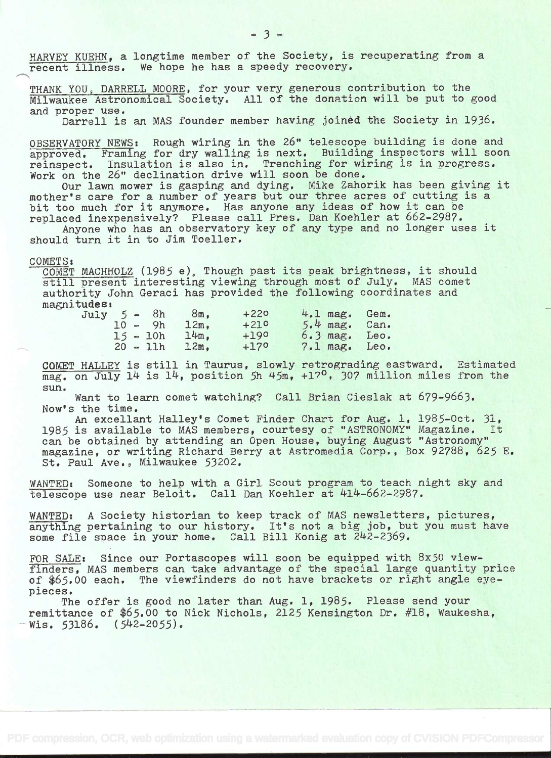HARVEY KUEHN, a longtime member of the Society, is recuperating from a recent illness. We hope he has a speedy recovery.

THANK YOU, DARRELL MOORE, for your very generous contribution to the Milwaukee Astronomical Society. All of the donation will be put to good and proper use.

Darrell is an MAS founder member having joined the Society in 1936.

OBSERVATORY NEWS: Rough wiring in the 26" telescope building is done and approved. Framing for dry walling is next. Building inspectors will soon reinspect. Insulation is also in. Trenching for wiring is in progress. Work on the 26" declination drive will soon be done.

Our lawn mower is gasping and dying. Mike Zahorik has been giving it mother's care for a number of years but our three acres of cutting is a bit too much for it anymore. Has anyone any ideas of how it can be replaced inexpensively? Please call Pres. Dan Koehler at 662-2987.

Anyone who has an observatory key of any type and no longer uses it should turn it in to Jim Toeller.

### COMETS:

COMET MACHHOLZ (1985 e), Though past its peak brightness, it should still present interesting viewing through most of July. MAS comet authority John Geraci has provided the following coordinates and magnitudes:<br>July

| $July 5 - 8h$ |  |            | $8m_{\bullet}$ | $+220$ |  | 4.1 mag. Gem.   |  |
|---------------|--|------------|----------------|--------|--|-----------------|--|
|               |  | $10 - 9h$  | $12m$ .        | $+210$ |  | $5.4$ mag. Can. |  |
|               |  | $15 - 10h$ | 14m.           | $+190$ |  | $6.3$ mag. Leo. |  |
|               |  | $20 - 11h$ | 12m.           | $+170$ |  | 7.1 mag. Leo.   |  |

COMET HALLEY is still in Taurus, slowly retrograding eastward. Estimated mag. on July 14 is 14, position 5h  $45m$ ,  $+17^{\circ}$ , 307 million miles from the sun.

Want to learn comet watching? Call Brian Cieslak at 679-9663. Now's the time.

An excellant Halley's Comet Finder Chart for Aug. 1, 1985-Oct. 31, 1985 is available to MAS members, courtesy of "ASTRONOMY" Magazine. It can be obtained by attending an Open House, buying August "Astronomy" magazine, or writing Richard Berry at Astromedia Corp., Box 92788, 625 E, St. Paul Ave., Milwaukee 53202.

WANTED: Someone to help with a Girl Scout program to teach night sky and telescope use near Beloit. Call Dan Koehler at 414-662-2987.

WANTED: A Society historian to keep track of MAS newsletters, pictures, anything pertaining to our history. It's not a big job, but you must have some file space in your home. Call Bill Konig at 242-2369.

FOR SALE: Since our Portascopes will soon be equipped with 8x50 viewfinders, MAS members can take advantage of the special large quantity price of \$65.00 each. The viewfinders do not have brackets or right angle eyepieces.

The offer is good no later than Aug. 1, 1985. Please send your remittance of 465.O0 to Nick Nichols, 2125 Kensington Dr. #18, Waukesha, Wis.  $53186.$   $(542-2055)$ .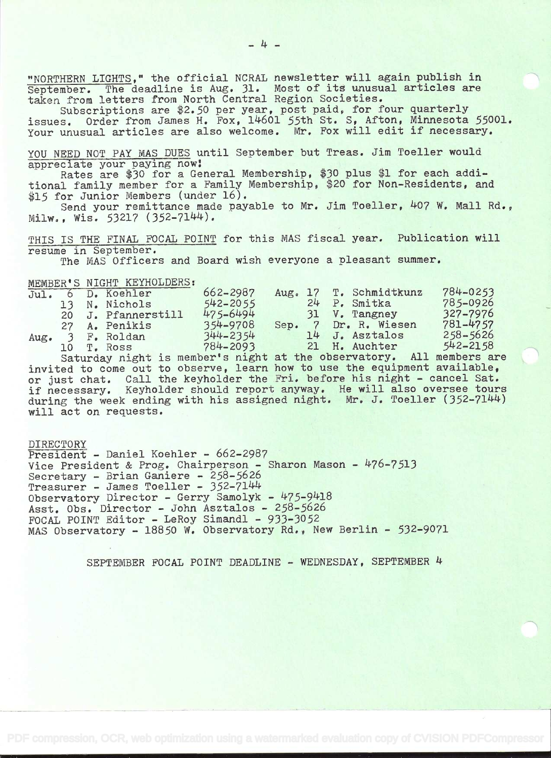"NORTHERN LIGHTS," the official NCRAL newsletter will again publish in "NORTHERN LIGHTS," the official NCRAL newsletter will again publish in<br>September. The deadline is Aug. 31. Most of its unusual articles are september. The deadline is Aug. It. Most of its didsuit and

Subscriptions are \$2.50 per year, post paid, for four quarterly issues. Order from James H. Fox, 14601 55th St. S, Afton, Minnesota 55001. Your unusual articles are also welcome. Mr. Fox will edit if necessary.

YOU NEED NOT PAY MAS DUES until September but Treas. Jim Toeller would appreciate your paying now

Rates are \$30 for a General Membership, \$30 plus \$1 for each additional family member for a Family Membership, \$20 for Non-Residents, and \$15 for Junior Members (under 16).

Send your remittance made payable to Mr. Jim Toeller, 407 W. Mall Rd.,  $Milw.$ , Wis. 53217 (352-7144).

THIS IS THE FINAL FOCAL POINT for this MAS fiscal year. Publication will resume in September.

The MAS Officers and Board wish everyone a pleasant summer.

MEMBER'S NIGHT KEYHOLDERS:

| ,,,,,,,,,,,,,,,,, |         |                    |                                                                                                                                                                                                                                |    |                        |              |  |
|-------------------|---------|--------------------|--------------------------------------------------------------------------------------------------------------------------------------------------------------------------------------------------------------------------------|----|------------------------|--------------|--|
| Jul.              | $\circ$ | D. Koehler         | 662-2987                                                                                                                                                                                                                       |    | Aug. 17 T. Schmidtkunz | 784-0253     |  |
|                   |         | 13 N. Nichols      | $542 - 2055$                                                                                                                                                                                                                   | 24 | P. Smitka              | 785-0926     |  |
|                   |         | 20 J. Pfannerstill | 475-6494                                                                                                                                                                                                                       |    | 31 V. Tangney          | 327-7976     |  |
|                   | 27      | A. Penikis         | 354-9708                                                                                                                                                                                                                       |    | Sep. 7 Dr. R. Wiesen   | 781-4757     |  |
| Aug.              |         | 3 F. Roldan        | 344-2354                                                                                                                                                                                                                       |    | 14 J. Asztalos         | $258 - 5626$ |  |
|                   | 10      | T. Ross            | 784-2093                                                                                                                                                                                                                       |    | 21 H. Auchter          | $542 - 2158$ |  |
|                   |         |                    | the second contract of the second contract of the second contract of the second contract of the second contract of the second contract of the second contract of the second contract of the second contract of the second cont |    |                        |              |  |

Saturday night is member's night at the observatory. All members are invited to come out to observe, learn how to use the equipment available, or just chat. Call the keyholder the Fri. before his night - cancel Sat.<br>if necessary. Keyholder should report anyway. He will also oversee tours if necessary. Keyholder should report anyway. He will also oversee tours<br>during the week ending with his assigned night. Mr. J. Toeller (352-7144) will act on requests.

DIRECTORY President - Daniel Koehler - 662-2987 Vice President & Prog. Chairperson - Sharon Mason - 476-7513<br>Secretary - Brian Ganiere - 258-5626  $Treasurer - James Toeller - 352-7144$ Observatory Director - Gerry Samolyk - 475-9418 Asst. Obs. Director - John Asztalos - 258-5626 FOCAL POINT Editor - LeRoy Simandi - 933-3052 MAS Observatory - 18850 W. Observatory Rd., New Berlin - 532-9071

SEPTEMBER FOCAL POINT DEADLINE - WEDNESDAY, SEPTEMBER 4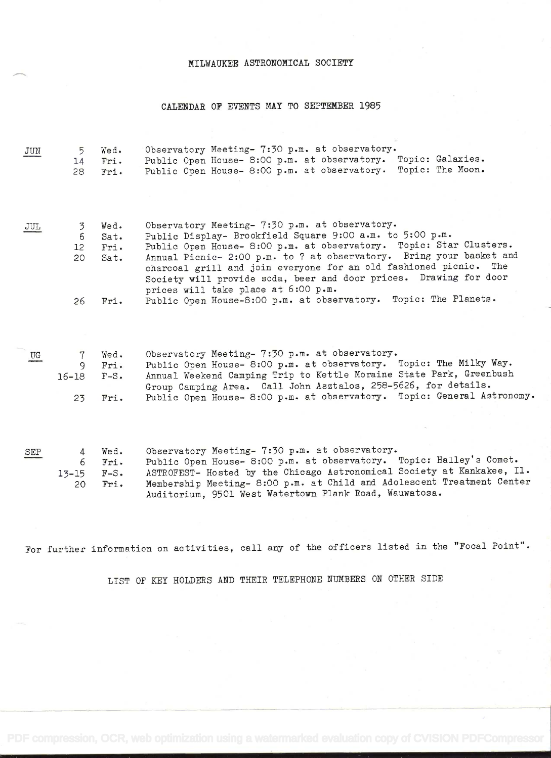### MILWAUXEE ASTRONOMICAL SOCIETY

# CALENDAR OF EVENTS MAY TO SEPTEMBER 1985

| JUN | 5<br>14<br>28             | Wed.<br>Fri.<br>Fri.            | Observatory Meeting- 7:30 p.m. at observatory.<br>Public Open House- 8:00 p.m. at observatory. Topic: Galaxies.<br>Topic: The Moon.<br>Public Open House- 8:00 p.m. at observatory.                                                                                                                                                                                                                                                      |
|-----|---------------------------|---------------------------------|------------------------------------------------------------------------------------------------------------------------------------------------------------------------------------------------------------------------------------------------------------------------------------------------------------------------------------------------------------------------------------------------------------------------------------------|
| JUL | 3<br>6<br>12<br>20        | Wed.<br>Sat.<br>Fri.<br>Sat.    | Observatory Meeting- 7:30 p.m. at observatory.<br>Public Display- Brookfield Square 9:00 a.m. to 5:00 p.m.<br>Public Open House- 8:00 p.m. at observatory. Topic: Star Clusters.<br>Annual Picnic- 2:00 p.m. to ? at observatory. Bring your basket and<br>charcoal grill and join everyone for an old fashioned picnic. The<br>Society will provide soda, beer and door prices. Drawing for door<br>prices will take place at 6:00 p.m. |
|     | 26                        | Fri.                            | Public Open House-8:00 p.m. at observatory. Topic: The Planets.                                                                                                                                                                                                                                                                                                                                                                          |
| UG  | 7<br>9<br>$16 - 18$<br>23 | Wed.<br>Fri.<br>$F-S$ .<br>Fri. | Observatory Meeting- 7:30 p.m. at observatory.<br>Public Open House- 8:00 p.m. at observatory. Topic: The Milky Way.<br>Annual Weekend Camping Trip to Kettle Moraine State Park, Greenbush<br>Group Camping Area. Call John Asztalos, 258-5626, for details.<br>Public Open House- 8:00 p.m. at observatory. Topic: General Astronomy.                                                                                                  |
| SEP | 4<br>6                    | Wed.<br>Fri.                    | Observatory Meeting- 7:30 p.m. at observatory.<br>Public Open House- 8:00 p.m. at observatory. Topic: Halley's Comet.                                                                                                                                                                                                                                                                                                                    |
|     | $13 - 15$<br>20           | $F-S$ .<br>Fri.                 | ASTROFEST- Hosted by the Chicago Astronomical Society at Kankakee, Il.<br>Membership Meeting- 8:00 p.m. at Child and Adolescent Treatment Center<br>Auditorium, 9501 West Watertown Plank Road, Wauwatosa.                                                                                                                                                                                                                               |

For further information on activities, call any of the officers listed in the "Focal Point".

LIST OF KEY HOLDERS AND THEIR TELEPHONE NUMBERS ON OTHER SIDE